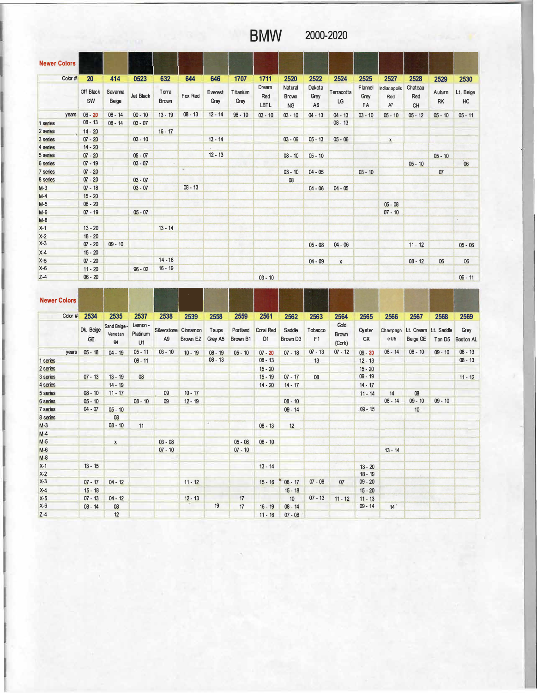## **BMW 2000-2020**

| <b>Newer Colors</b> |         |                 |                  |           |                       |           |                 |                  |                      |                                      |                                  |                  |                       |                           |                             |              |                 |
|---------------------|---------|-----------------|------------------|-----------|-----------------------|-----------|-----------------|------------------|----------------------|--------------------------------------|----------------------------------|------------------|-----------------------|---------------------------|-----------------------------|--------------|-----------------|
|                     | Color # | 20              | 414              | 0523      | 632                   | 644       | 646             | 1707             | 1711                 | 2520                                 | 2522                             | 2524             | 2525                  | 2527                      | 2528                        | 2529         | 2530            |
|                     |         | Off Black<br>SW | Savanna<br>Beige | Jet Black | Terra<br><b>Brown</b> | Fox Red   | Everest<br>Gray | Titanium<br>Grey | Dream<br>Red<br>LBTL | <b>Natural</b><br>Brown<br><b>NG</b> | Dakota<br>Grey<br>A <sub>6</sub> | Terracotta<br>LG | Flannel<br>Grey<br>FA | Indianapolis<br>Red<br>A7 | Chateau<br>Red<br><b>CH</b> | Auburn<br>RK | Lt. Beige<br>HC |
|                     | years   | $06 - 20$       | $08 - 14$        | $00 - 10$ | $13 - 19$             | $08 - 13$ | $12 - 14$       | $98 - 10$        | $03 - 10$            | $03 - 10$                            | $04 - 13$                        | $04 - 13$        | $03 - 10$             | $05 - 10$                 | $05 - 12$                   | $05 - 10$    | $05 - 11$       |
| 1 series            |         | $08 - 13$       | $08 - 14$        | $03 - 07$ |                       |           |                 |                  |                      |                                      |                                  | $08 - 13$        |                       |                           |                             |              |                 |
| 2 series            |         | $14 - 20$       |                  |           | $16 - 17$             |           |                 |                  |                      |                                      |                                  |                  |                       |                           |                             |              |                 |
| 3 series            |         | $07 - 20$       |                  | $03 - 10$ |                       |           | $13 - 14$       |                  |                      | $03 - 06$                            | $05 - 13$                        | $05 - 06$        |                       | $\mathbf{x}$              |                             |              |                 |
| 4 series            |         | $14 - 20$       |                  |           |                       |           |                 |                  |                      |                                      |                                  |                  |                       |                           |                             |              |                 |
| 5 series            |         | $07 - 20$       |                  | $05 - 07$ |                       |           | $12 - 13$       |                  |                      | $08 - 10$                            | $05 - 10$                        |                  |                       |                           |                             | $05 - 10$    |                 |
| 6 series            |         | $07 - 19$       |                  | $03 - 07$ |                       |           |                 | <b>TE</b>        |                      |                                      |                                  |                  |                       |                           | $05 - 10$                   |              | 06              |
| 7 series            |         | $07 - 20$       |                  |           |                       | $\omega$  |                 |                  |                      | $03 - 10$                            | $04 - 05$                        |                  | $03 - 10$             |                           |                             | 07           |                 |
| 8 series            |         | $07 - 20$       |                  | $03 - 07$ |                       |           |                 |                  |                      | 08                                   |                                  |                  |                       |                           |                             |              |                 |
| $M-3$               |         | $07 - 18$       |                  | $03 - 07$ |                       | $08 - 13$ |                 |                  |                      |                                      | $04 - 06$                        | $04 - 05$        |                       |                           |                             |              |                 |
| $M-4$               |         | $15 - 20$       |                  |           |                       |           |                 |                  |                      |                                      |                                  |                  |                       |                           |                             |              |                 |
| $M-5$               |         | $08 - 20$       |                  |           |                       |           |                 |                  |                      |                                      |                                  |                  |                       | $05 - 08$                 |                             |              |                 |
| $M-6$               |         | $07 - 19$       |                  | $05 - 07$ |                       |           |                 |                  |                      |                                      |                                  |                  |                       | $07 - 10$                 |                             |              |                 |
| $M-8$               |         |                 |                  |           |                       |           |                 |                  |                      |                                      |                                  |                  |                       |                           |                             |              |                 |
| $X-1$               |         | $13 - 20$       |                  |           | $13 - 14$             |           |                 |                  |                      |                                      |                                  |                  |                       |                           |                             |              |                 |
| $X-2$               |         | $18 - 20$       |                  |           |                       |           |                 |                  |                      |                                      |                                  |                  |                       |                           |                             |              |                 |
| $X-3$               |         | $07 - 20$       | $09 - 10$        |           |                       |           |                 |                  |                      |                                      | $05 - 08$                        | $04 - 06$        |                       |                           | $11 - 12$                   |              | $05 - 06$       |
| $X-4$               |         | $15 - 20$       |                  |           |                       |           |                 |                  |                      |                                      |                                  |                  |                       |                           |                             |              |                 |
| $X-5$               |         | $07 - 20$       |                  |           | $14 - 18$             |           |                 |                  |                      |                                      | $04 - 09$                        | $\mathbf{x}$     |                       |                           | $08 - 12$                   | 06           | 06              |
| $X-6$               |         | $11 - 20$       |                  | $96 - 02$ | $16 - 19$             |           |                 |                  |                      |                                      |                                  |                  |                       |                           |                             |              |                 |
| $Z-4$               |         | $06 - 20$       |                  |           |                       |           |                 |                  | $03 - 10$            |                                      |                                  |                  |                       |                           |                             |              | $06 - 11$       |

| $X-6$               |         | $11 - 20$       |                                      | $96 - 02$                 | $16 - 19$      |                                         |                  |                      |                                    |                                |               |                                |                     |                  |           |                                            |                          |
|---------------------|---------|-----------------|--------------------------------------|---------------------------|----------------|-----------------------------------------|------------------|----------------------|------------------------------------|--------------------------------|---------------|--------------------------------|---------------------|------------------|-----------|--------------------------------------------|--------------------------|
| $Z-4$               |         | $06 - 20$       |                                      |                           |                |                                         |                  |                      | $03 - 10$                          |                                |               |                                |                     |                  |           |                                            | $06 - 11$                |
| <b>Newer Colors</b> |         |                 |                                      |                           |                |                                         |                  |                      |                                    |                                |               |                                |                     |                  |           |                                            |                          |
|                     | Color # | 2534            | 2535                                 | 2537                      | 2538           | 2539                                    | 2558             | 2559                 | 2561                               | 2562                           | 2563          | 2564                           | 2565                | 2566             | 2567      | 2568                                       | 2569                     |
|                     |         | Dk. Beige<br>GE | Sand Beige-<br>Venetian<br><b>B4</b> | Lemon -<br>Platinum<br>U1 | A <sub>9</sub> | Silverstone Cinnamon<br><b>Brown EZ</b> | Taupe<br>Grey A5 | Portland<br>Brown B1 | <b>Coral Red</b><br>D <sub>1</sub> | Saddle<br>Brown D <sub>3</sub> | Tobacco<br>F1 | Gold<br><b>Brown</b><br>(Cork) | Oyster<br><b>CX</b> | Champagn<br>e U5 | Beige GE  | Lt. Cream Lt. Saddle<br>Tan D <sub>5</sub> | Grey<br><b>Boston AL</b> |
|                     | years   | $05 - 18$       | $04 - 19$                            | $05 - 11$                 | $03 - 10$      | $10 - 19$                               | $08 - 19$        | $05 - 10$            | $07 - 20$                          | $07 - 18$                      | $07 - 13$     | $07 - 12$                      | $09 - 20$           | $08 - 14$        | $08 - 10$ | $09 - 10$                                  | $08 - 13$                |
| 1 series            |         |                 |                                      | $08 - 11$                 |                |                                         | $08 - 13$        |                      | $08 - 13$                          |                                | 13            |                                | $12 - 13$           |                  |           |                                            | $08 - 13$                |
| 2 series            |         |                 |                                      |                           |                |                                         |                  |                      | $15 - 20$                          |                                |               |                                | $15 - 20$           |                  |           |                                            |                          |
| 3 series            |         | $07 - 13$       | $13 - 19$                            | 08                        |                |                                         |                  |                      | $15 - 19$                          | $07 - 17$                      | 08            |                                | $09 - 19$           |                  |           |                                            | $11 - 12$                |
| 4 series            |         |                 | $14 - 19$                            |                           |                |                                         |                  |                      | $14 - 20$                          | $14 - 17$                      |               |                                | $14 - 17$           |                  |           |                                            |                          |
| 5 series            |         | $08 - 10$       | $11 - 17$                            |                           | 09             | $10 - 17$                               |                  |                      |                                    |                                |               |                                | $11 - 14$           | 14               | 08        |                                            |                          |
| 6 series            |         | $05 - 10$       |                                      | $08 - 10$                 | 09             | $12 - 19$                               |                  |                      |                                    | $08 - 10$                      |               |                                |                     | $08 - 14$        | $09 - 10$ | $09 - 10$                                  |                          |
| 7 series            |         | $04 - 07$       | $05 - 10$                            |                           |                |                                         |                  |                      |                                    | $09 - 14$                      |               |                                | $09 - 15$           |                  | 10        |                                            |                          |
| 8 series            |         |                 | 08                                   |                           |                |                                         |                  |                      |                                    |                                |               |                                |                     |                  |           |                                            |                          |
| $M-3$               |         |                 | $08 - 10$                            | 11                        |                |                                         | $+1$             |                      | $08 - 13$                          | 12                             |               |                                |                     |                  |           |                                            |                          |
| $M-4$               |         |                 |                                      |                           |                |                                         |                  |                      |                                    |                                |               |                                |                     |                  |           |                                            |                          |
| $M-5$               |         |                 | $\mathsf{x}$                         |                           | $03 - 08$      |                                         |                  | $05 - 08$            | $08 - 10$                          |                                |               |                                |                     |                  |           |                                            |                          |
| $M-6$               |         |                 |                                      |                           | $07 - 10$      |                                         |                  | $07 - 10$            |                                    |                                |               |                                |                     | $13 - 14$        |           |                                            |                          |
| $M-8$               |         |                 |                                      |                           |                |                                         |                  |                      |                                    |                                |               |                                |                     |                  |           |                                            |                          |
| $X-1$               |         | $13 - 15$       |                                      |                           |                |                                         |                  |                      | $13 - 14$                          |                                |               |                                | $13 - 20$           |                  |           |                                            |                          |
| $X-2$               |         |                 |                                      |                           |                |                                         |                  |                      |                                    |                                |               |                                | $18 - 19$           |                  |           |                                            |                          |
| $X-3$               |         | $07 - 17$       | $04 - 12$                            |                           |                | $11 - 12$                               |                  |                      | $15 - 16$                          | $08 - 17$                      | $07 - 08$     | 07                             | $09 - 20$           |                  |           |                                            |                          |
| $X-4$               |         | $15 - 18$       |                                      |                           |                |                                         |                  |                      |                                    | $15 - 18$                      |               |                                | $15 - 20$           |                  |           |                                            |                          |
| $X-5$               |         | $07 - 13$       | $04 - 12$                            |                           |                | $12 - 13$                               |                  | 17                   |                                    | 10                             | $07 - 13$     | $11 - 12$                      | $11 - 13$           |                  |           |                                            |                          |
| $X-6$               |         | $08 - 14$       | 08                                   |                           |                |                                         | 19               | 17                   | $16 - 19$                          | $08 - 14$                      |               |                                | $09 - 14$           | 14               |           |                                            |                          |
| $Z-4$               |         |                 | 12                                   |                           |                |                                         |                  |                      | $11 - 16$                          | $07 - 08$                      |               |                                |                     |                  |           |                                            |                          |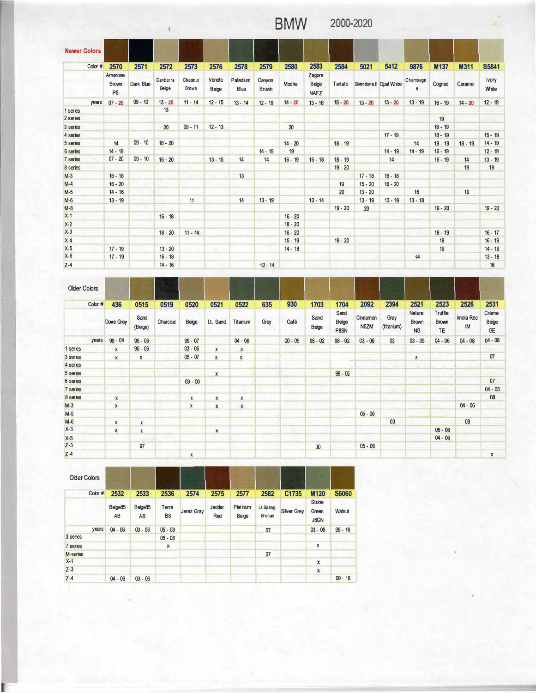## **BMW** 2000-2020

| <b>Newer Colors</b> |                                      |           |                   |                  |                 |                  |                        |                          |                                |           |                           |           |                      |           |           |                |
|---------------------|--------------------------------------|-----------|-------------------|------------------|-----------------|------------------|------------------------|--------------------------|--------------------------------|-----------|---------------------------|-----------|----------------------|-----------|-----------|----------------|
| Color #             | 2570                                 | 2571      | 2572              | 2573             | 2576            | 2578             | 2579                   | 2580                     | 2583                           | 2584      | 5021                      | 5412      | 9876                 | M137      | M311      | <b>S5841</b>   |
|                     | Amerone<br><b>Brown</b><br><b>P5</b> | Dark Blue | Canberra<br>Beige | Chesnut<br>Brown | Veneto<br>Beige | Paladium<br>Blue | Canyon<br><b>Brown</b> | Mocha                    | Zagora<br>Beige<br><b>NAFZ</b> | Tartufo   | Silversione il Opal White |           | Champagn<br>$\theta$ | Cognac    | Caramel   | lvory<br>White |
| years               | $07 - 20$                            | $09 - 10$ | $13 - 20$         | $11 - 14$        | $12 - 15$       | $13 - 14$        | $12 - 19$              | $14 - 20$                | $13 - 18$                      | $18 - 20$ | $13 - 20$                 | $13 - 20$ | $13 - 19$            | $16 - 19$ | $14 - 20$ | $12 - 19$      |
| 1 series            |                                      |           | 13                |                  |                 |                  |                        |                          |                                |           |                           |           |                      |           |           |                |
| 2 series            |                                      |           |                   |                  |                 |                  |                        |                          |                                |           |                           |           |                      | 19        |           |                |
| 3 series            |                                      |           | 20                | $09 - 11$        | $12 - 13$       |                  |                        | 20 <sup>20</sup>         |                                |           |                           |           |                      | $18 - 19$ |           |                |
| 4 series            |                                      |           |                   |                  |                 |                  |                        |                          |                                |           |                           | $17 - 19$ |                      | $18 - 19$ |           | $15 - 19$      |
| 5 series            | 14                                   | $09 - 10$ | $18 - 20$         |                  |                 |                  |                        | $14 - 20$                |                                | $18 - 19$ |                           |           | 14                   | $18 - 19$ | $18 - 19$ | $14 - 19$      |
| 6 series            | $14 - 19$                            |           |                   |                  |                 |                  | $14 - 19$              | 19                       |                                |           |                           | $14 - 19$ | $14 - 19$            | $16 - 19$ |           | $12 - 19$      |
| 7 series            | $07 - 20$                            | $09 - 10$ | $16 - 20$         |                  | $13 - 15$       | 14               | 14                     | $16 - 19$                | $16 - 18$                      | $18 - 19$ |                           | 14        |                      | $16 - 19$ | 14        | $13 - 19$      |
| 8 series            |                                      |           |                   |                  |                 |                  |                        |                          |                                | $19 - 20$ |                           |           |                      |           | 19        | 19             |
| $M-3$               | $16 - 18$                            |           |                   |                  |                 | 13               |                        |                          |                                |           | $17 - 18$                 | $16 - 18$ |                      |           |           |                |
| $M-4$               | $16 - 20$                            |           |                   |                  |                 |                  |                        |                          |                                | 19        | $15 - 20$                 | $16 - 20$ |                      |           |           |                |
| $M-5$               | $14 - 16$                            |           |                   |                  |                 |                  |                        |                          |                                | 20        | $13 - 20$                 |           | 16                   |           | 19        |                |
| $M-6$               | $13 - 19$                            |           |                   | 11               |                 | 14               | $13 - 19$              | <b>Contract Contract</b> | $13 - 14$                      |           | $13 - 19$                 | $13 - 19$ | $13 - 18$            |           |           |                |
| $M-8$               |                                      |           |                   |                  |                 |                  |                        |                          |                                | $19 - 20$ | 20                        |           |                      | $19 - 20$ |           | $19 - 20$      |
| $X-1$               |                                      |           | $16 - 18$         |                  |                 |                  |                        | $16 - 20$                |                                |           |                           |           |                      |           |           |                |
| $X-2$               |                                      |           |                   |                  |                 |                  |                        | $18 - 20$                |                                |           |                           |           |                      |           |           |                |
| $X-3$               |                                      |           | $18 - 20$         | $11 - 14$        |                 |                  |                        | $16 - 20$                |                                |           |                           |           |                      | $18 - 19$ |           | $16 - 17$      |
| $X-4$               |                                      |           |                   |                  |                 |                  |                        | $15 - 19$                |                                | $19 - 20$ |                           |           |                      | 19        |           | $16 - 19$      |
| $X-5$               | $17 - 19$                            |           | $13 - 20$         |                  |                 |                  |                        | $14 - 18$                |                                |           |                           |           |                      | 19        |           | $14 - 19$      |
| $X-6$               | $17 - 19$                            |           | $16 - 18$         |                  |                 |                  |                        |                          |                                |           |                           |           | 14                   |           |           | $13 - 18$      |
| $Z-4$               |                                      |           | $14 - 16$         |                  |                 |                  | $12 - 14$              |                          |                                |           |                           |           |                      |           |           | 16             |

Older Colors Color # 436 **436 0515 0519 0520 0521 0522 635 930 1703 1704 2092 2394 2521 2523 2526 2531**  Sand Report of Nature Truffle Creme Dove Grey Sand Charcoal Café Sand Beige Cinnamon Gray Brown Brown Imola Red Beige Beige Lt. Sand Titanium Grey (Beige) Beige P8SN N5ZM (titanium) NG TE <sup>IM</sup> GE years 99 - 04  $95 - 06$ 99- 07 04- 06 00 - 05 98 - 02 98 - 02 03 - 06 03 03 - 05 04 - 06 04 - 08 04 - 08 95- 06 03- 06 1 series  $\mathbf x$  $\mathbf x$  $\,$  x  $\,$ 3 series 05 - 07 **X** X  $\mathsf X$ **X X** 07 4 series  $98 - 02$ 5 series  $\mathsf{x}$ 07 6 series  $03 - 06$ 7 series 04- 05 8 series 08  $\mathbf x$  $\mathbf{x}$ X  $\mathbf{x}$ 04- 06 M-3 **X X**  x  $\mathbf{x}$ M-5 05- 06 M-6 **X**   $\pmb{\mathsf{x}}$ 03 08 X-3 05- 06 **X**   $\mathbf{x}$  $\mathbf x$ X-5 04- 06 Z-3 97  $\overline{00}$ 05- 06 Z-4· **X X** 

| <b>Older Colors</b> |         |               |               |                         |            |               |                   |                           |                    |                               |              |
|---------------------|---------|---------------|---------------|-------------------------|------------|---------------|-------------------|---------------------------|--------------------|-------------------------------|--------------|
|                     | Color # | 2532          | 2533          | 2536                    | 2574       | 2575          | 2577              | 2582                      | C1735              | M120                          | <b>S6060</b> |
|                     |         | Beige85<br>AB | Beige85<br>AB | Terra<br>B <sub>8</sub> | Jerez Gray | Jedder<br>Red | Platinum<br>Beige | Lt Spang<br><b>Bronae</b> | <b>Silver Grey</b> | <b>Stone</b><br>Green<br>J6GN | Walnut       |
|                     | years   | $04 - 06$     | $03 - 06$     | $05 - 08$               |            |               |                   | 07                        |                    | $03 - 05$                     | $09 - 16$    |
| 3 series            |         |               |               | $05 - 08$               |            |               |                   |                           |                    |                               |              |
| 7 series            |         |               |               | X                       |            |               |                   |                           |                    | X                             |              |
| M-series            |         |               |               |                         |            |               |                   | 07                        |                    |                               |              |
| $X-1$               |         |               |               |                         |            |               |                   |                           |                    | x                             |              |
| $Z-3$               |         |               |               |                         |            |               |                   |                           |                    | $\pmb{\mathsf{x}}$            |              |
| $Z - 4$             |         | $04 - 06$     | $03 - 06$     |                         |            |               |                   |                           |                    |                               | $09 - 16$    |

 $\tilde{\mathcal{C}}$ 

 $\qquad \qquad t$